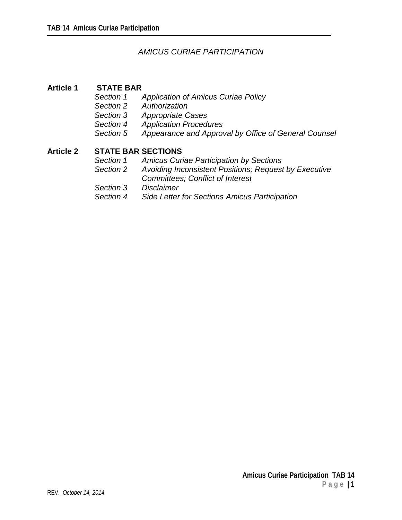# *AMICUS CURIAE PARTICIPATION*

## **Article 1 STATE BAR**

- *Section 1 Application of Amicus Curiae Policy*
- *Section 2 Authorization*
- *Section 3 Appropriate Cases*
- *Section 4 Application Procedures*
- *Section 5 Appearance and Approval by Office of General Counsel*

# **Article 2 STATE BAR SECTIONS**<br>Section 1 Amicus Cur

- *Section 1 Amicus Curiae Participation by Sections*
- *Section 2 Avoiding Inconsistent Positions; Request by Executive Committees; Conflict of Interest*
- *Section 3 Disclaimer*
- *Section 4 Side Letter for Sections Amicus Participation*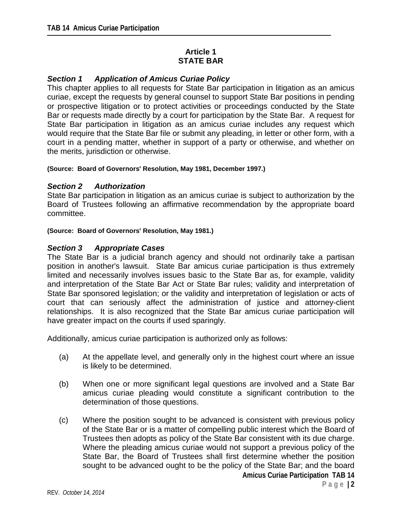# **Article 1 STATE BAR**

# *Section 1 Application of Amicus Curiae Policy*

This chapter applies to all requests for State Bar participation in litigation as an amicus curiae, except the requests by general counsel to support State Bar positions in pending or prospective litigation or to protect activities or proceedings conducted by the State Bar or requests made directly by a court for participation by the State Bar. A request for State Bar participation in litigation as an amicus curiae includes any request which would require that the State Bar file or submit any pleading, in letter or other form, with a court in a pending matter, whether in support of a party or otherwise, and whether on the merits, jurisdiction or otherwise.

## **(Source: Board of Governors' Resolution, May 1981, December 1997.)**

## *Section 2 Authorization*

State Bar participation in litigation as an amicus curiae is subject to authorization by the Board of Trustees following an affirmative recommendation by the appropriate board committee.

#### **(Source: Board of Governors' Resolution, May 1981.)**

## *Section 3 Appropriate Cases*

The State Bar is a judicial branch agency and should not ordinarily take a partisan position in another's lawsuit. State Bar amicus curiae participation is thus extremely limited and necessarily involves issues basic to the State Bar as, for example, validity and interpretation of the State Bar Act or State Bar rules; validity and interpretation of State Bar sponsored legislation; or the validity and interpretation of legislation or acts of court that can seriously affect the administration of justice and attorney-client relationships. It is also recognized that the State Bar amicus curiae participation will have greater impact on the courts if used sparingly.

Additionally, amicus curiae participation is authorized only as follows:

- (a) At the appellate level, and generally only in the highest court where an issue is likely to be determined.
- (b) When one or more significant legal questions are involved and a State Bar amicus curiae pleading would constitute a significant contribution to the determination of those questions.
- (c) Where the position sought to be advanced is consistent with previous policy of the State Bar or is a matter of compelling public interest which the Board of Trustees then adopts as policy of the State Bar consistent with its due charge. Where the pleading amicus curiae would not support a previous policy of the State Bar, the Board of Trustees shall first determine whether the position sought to be advanced ought to be the policy of the State Bar; and the board **Amicus Curiae Participation TAB 14**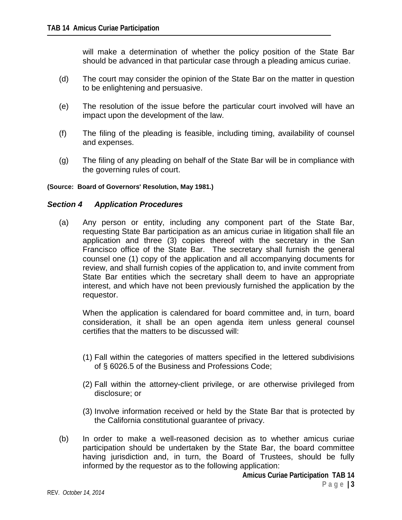will make a determination of whether the policy position of the State Bar should be advanced in that particular case through a pleading amicus curiae.

- (d) The court may consider the opinion of the State Bar on the matter in question to be enlightening and persuasive.
- (e) The resolution of the issue before the particular court involved will have an impact upon the development of the law.
- (f) The filing of the pleading is feasible, including timing, availability of counsel and expenses.
- (g) The filing of any pleading on behalf of the State Bar will be in compliance with the governing rules of court.

#### **(Source: Board of Governors' Resolution, May 1981.)**

## *Section 4 Application Procedures*

(a) Any person or entity, including any component part of the State Bar, requesting State Bar participation as an amicus curiae in litigation shall file an application and three (3) copies thereof with the secretary in the San Francisco office of the State Bar. The secretary shall furnish the general counsel one (1) copy of the application and all accompanying documents for review, and shall furnish copies of the application to, and invite comment from State Bar entities which the secretary shall deem to have an appropriate interest, and which have not been previously furnished the application by the requestor.

When the application is calendared for board committee and, in turn, board consideration, it shall be an open agenda item unless general counsel certifies that the matters to be discussed will:

- (1) Fall within the categories of matters specified in the lettered subdivisions of § 6026.5 of the Business and Professions Code;
- (2) Fall within the attorney-client privilege, or are otherwise privileged from disclosure; or
- (3) Involve information received or held by the State Bar that is protected by the California constitutional guarantee of privacy.
- (b) In order to make a well-reasoned decision as to whether amicus curiae participation should be undertaken by the State Bar, the board committee having jurisdiction and, in turn, the Board of Trustees, should be fully informed by the requestor as to the following application: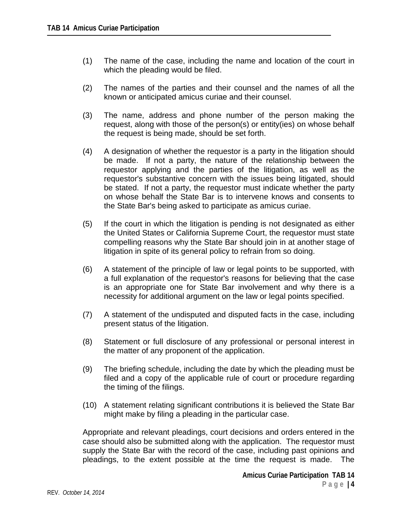- (1) The name of the case, including the name and location of the court in which the pleading would be filed.
- (2) The names of the parties and their counsel and the names of all the known or anticipated amicus curiae and their counsel.
- (3) The name, address and phone number of the person making the request, along with those of the person(s) or entity(ies) on whose behalf the request is being made, should be set forth.
- (4) A designation of whether the requestor is a party in the litigation should be made. If not a party, the nature of the relationship between the requestor applying and the parties of the litigation, as well as the requestor's substantive concern with the issues being litigated, should be stated. If not a party, the requestor must indicate whether the party on whose behalf the State Bar is to intervene knows and consents to the State Bar's being asked to participate as amicus curiae.
- (5) If the court in which the litigation is pending is not designated as either the United States or California Supreme Court, the requestor must state compelling reasons why the State Bar should join in at another stage of litigation in spite of its general policy to refrain from so doing.
- (6) A statement of the principle of law or legal points to be supported, with a full explanation of the requestor's reasons for believing that the case is an appropriate one for State Bar involvement and why there is a necessity for additional argument on the law or legal points specified.
- (7) A statement of the undisputed and disputed facts in the case, including present status of the litigation.
- (8) Statement or full disclosure of any professional or personal interest in the matter of any proponent of the application.
- (9) The briefing schedule, including the date by which the pleading must be filed and a copy of the applicable rule of court or procedure regarding the timing of the filings.
- (10) A statement relating significant contributions it is believed the State Bar might make by filing a pleading in the particular case.

Appropriate and relevant pleadings, court decisions and orders entered in the case should also be submitted along with the application. The requestor must supply the State Bar with the record of the case, including past opinions and pleadings, to the extent possible at the time the request is made. The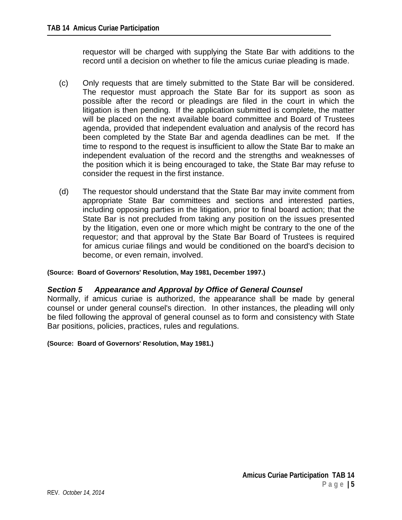requestor will be charged with supplying the State Bar with additions to the record until a decision on whether to file the amicus curiae pleading is made.

- (c) Only requests that are timely submitted to the State Bar will be considered. The requestor must approach the State Bar for its support as soon as possible after the record or pleadings are filed in the court in which the litigation is then pending. If the application submitted is complete, the matter will be placed on the next available board committee and Board of Trustees agenda, provided that independent evaluation and analysis of the record has been completed by the State Bar and agenda deadlines can be met. If the time to respond to the request is insufficient to allow the State Bar to make an independent evaluation of the record and the strengths and weaknesses of the position which it is being encouraged to take, the State Bar may refuse to consider the request in the first instance.
- (d) The requestor should understand that the State Bar may invite comment from appropriate State Bar committees and sections and interested parties, including opposing parties in the litigation, prior to final board action; that the State Bar is not precluded from taking any position on the issues presented by the litigation, even one or more which might be contrary to the one of the requestor; and that approval by the State Bar Board of Trustees is required for amicus curiae filings and would be conditioned on the board's decision to become, or even remain, involved.

## **(Source: Board of Governors' Resolution, May 1981, December 1997.)**

## *Section 5 Appearance and Approval by Office of General Counsel*

Normally, if amicus curiae is authorized, the appearance shall be made by general counsel or under general counsel's direction. In other instances, the pleading will only be filed following the approval of general counsel as to form and consistency with State Bar positions, policies, practices, rules and regulations.

#### **(Source: Board of Governors' Resolution, May 1981.)**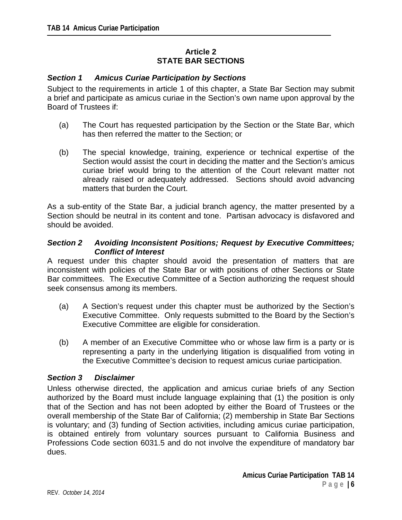# **Article 2 STATE BAR SECTIONS**

# *Section 1 Amicus Curiae Participation by Sections*

Subject to the requirements in article 1 of this chapter, a State Bar Section may submit a brief and participate as amicus curiae in the Section's own name upon approval by the Board of Trustees if:

- (a) The Court has requested participation by the Section or the State Bar, which has then referred the matter to the Section; or
- (b) The special knowledge, training, experience or technical expertise of the Section would assist the court in deciding the matter and the Section's amicus curiae brief would bring to the attention of the Court relevant matter not already raised or adequately addressed. Sections should avoid advancing matters that burden the Court.

As a sub-entity of the State Bar, a judicial branch agency, the matter presented by a Section should be neutral in its content and tone. Partisan advocacy is disfavored and should be avoided.

## *Section 2 Avoiding Inconsistent Positions; Request by Executive Committees; Conflict of Interest*

A request under this chapter should avoid the presentation of matters that are inconsistent with policies of the State Bar or with positions of other Sections or State Bar committees. The Executive Committee of a Section authorizing the request should seek consensus among its members.

- (a) A Section's request under this chapter must be authorized by the Section's Executive Committee. Only requests submitted to the Board by the Section's Executive Committee are eligible for consideration.
- (b) A member of an Executive Committee who or whose law firm is a party or is representing a party in the underlying litigation is disqualified from voting in the Executive Committee's decision to request amicus curiae participation.

## *Section 3 Disclaimer*

Unless otherwise directed, the application and amicus curiae briefs of any Section authorized by the Board must include language explaining that (1) the position is only that of the Section and has not been adopted by either the Board of Trustees or the overall membership of the State Bar of California; (2) membership in State Bar Sections is voluntary; and (3) funding of Section activities, including amicus curiae participation, is obtained entirely from voluntary sources pursuant to California Business and Professions Code section 6031.5 and do not involve the expenditure of mandatory bar dues.